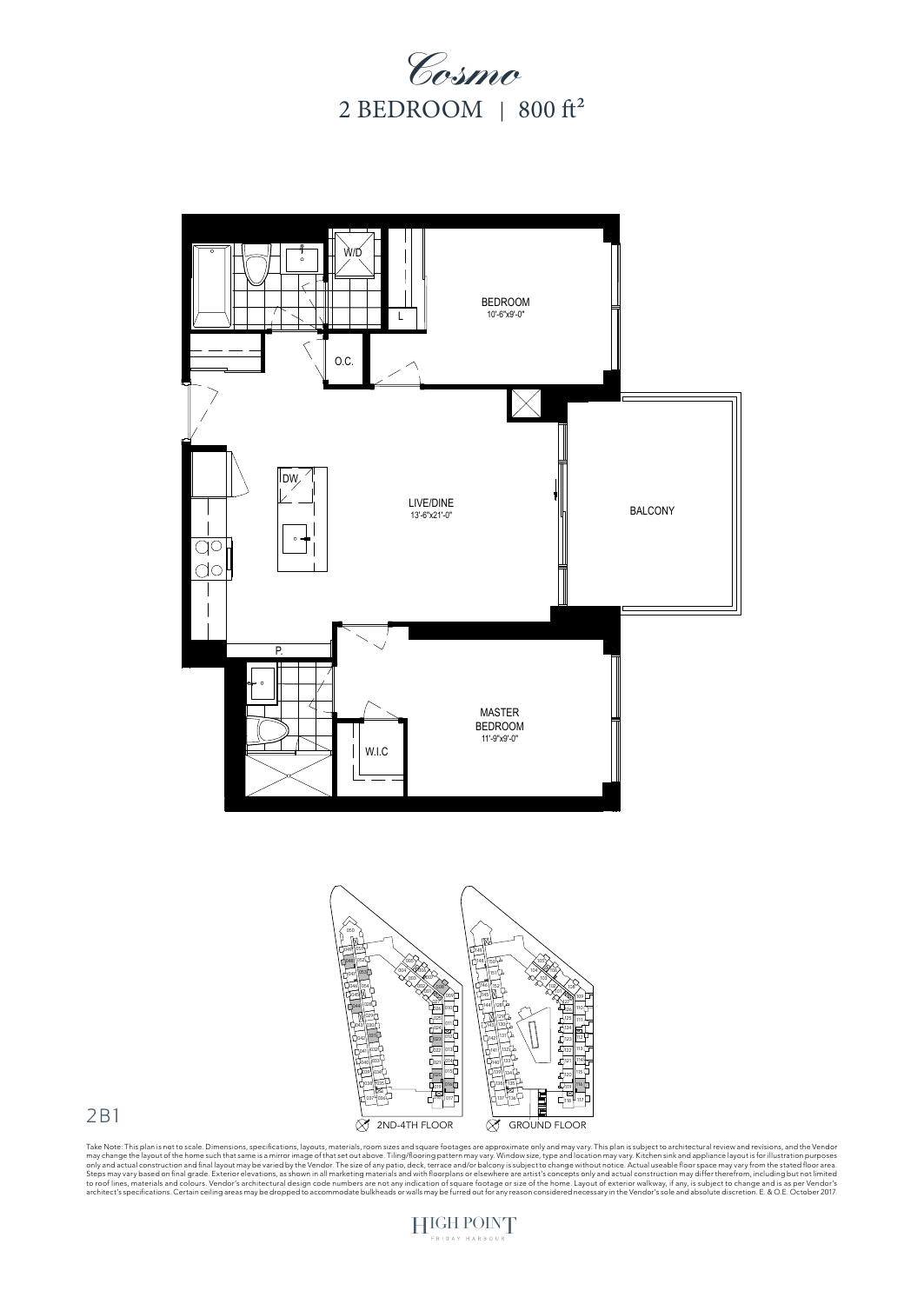







Take Note: This plan is not to scale. Dimensions, specifications, layouts, materials, room sizes and square footages are approximate only and may vary. This plan is subject to architectural review and revisions, and the Ve